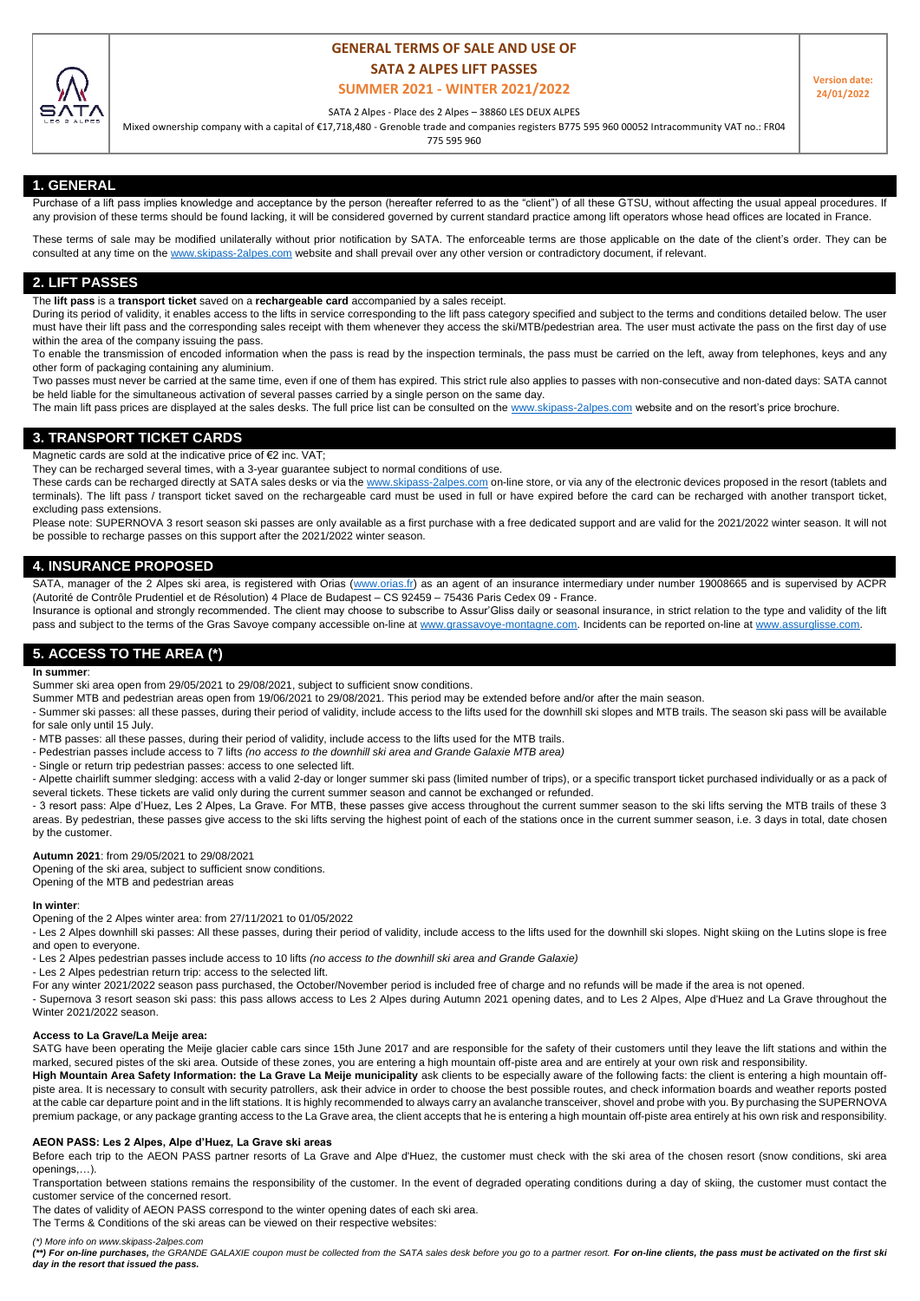# **GENERAL TERMS OF SALE AND USE OF**

**SATA 2 ALPES LIFT PASSES**

# **SUMMER 2021 - WINTER 2021/2022**

SATA 2 Alpes - Place des 2 Alpes – 38860 LES DEUX ALPES

Mixed ownership company with a capital of €17,718,480 - Grenoble trade and companies registers B775 595 960 00052 Intracommunity VAT no.: FR04

775 595 960

**1. GENERAL** 

Purchase of a lift pass implies knowledge and acceptance by the person (hereafter referred to as the "client") of all these GTSU, without affecting the usual appeal procedures. any provision of these terms should be found lacking, it will be considered governed by current standard practice among lift operators whose head offices are located in France.

These terms of sale may be modified unilaterally without prior notification by SATA. The enforceable terms are those applicable on the date of the client's order. They can be consulted at any time on th[e www.skipass-2alpes.com](http://www.skipass-2alpes.com/) website and shall prevail over any other version or contradictory document, if relevant.

## **2. LIFT PASSES**

The **lift pass** is a **transport ticket** saved on a **rechargeable card** accompanied by a sales receipt.

During its period of validity, it enables access to the lifts in service corresponding to the lift pass category specified and subject to the terms and conditions detailed below. The user must have their lift pass and the corresponding sales receipt with them whenever they access the ski/MTB/pedestrian area. The user must activate the pass on the first day of use within the area of the company issuing the pass.

To enable the transmission of encoded information when the pass is read by the inspection terminals, the pass must be carried on the left, away from telephones, keys and any other form of packaging containing any aluminium.

Two passes must never be carried at the same time, even if one of them has expired. This strict rule also applies to passes with non-consecutive and non-dated days: SATA cannot be held liable for the simultaneous activation of several passes carried by a single person on the same day.

The main lift pass prices are displayed at the sales desks. The full price list can be consulted on the [www.skipass-2alpes.com](http://www.skipass-2alpes.com/) website and on the resort's price brochure.

## **3. TRANSPORT TICKET CARDS**

Magnetic cards are sold at the indicative price of €2 inc. VAT;

They can be recharged several times, with a 3-year guarantee subject to normal conditions of use.

These cards can be recharged directly at SATA sales desks or via th[e www.skipass-2alpes.com](http://www.skipass-2alpes.com/) on-line store, or via any of the electronic devices proposed in the resort (tablets and terminals). The lift pass / transport ticket saved on the rechargeable card must be used in full or have expired before the card can be recharged with another transport ticket, excluding pass extensions.

Please note: SUPERNOVA 3 resort season ski passes are only available as a first purchase with a free dedicated support and are valid for the 2021/2022 winter season. It will not be possible to recharge passes on this support after the 2021/2022 winter season.

# **4. INSURANCE PROPOSED**

SATA, manager of the 2 Alpes ski area, is registered with Orias [\(www.orias.fr\)](http://www.orias.fr/) as an agent of an insurance intermediary under number 19008665 and is supervised by ACPR (Autorité de Contrôle Prudentiel et de Résolution) 4 Place de Budapest – CS 92459 – 75436 Paris Cedex 09 - France.

Insurance is optional and strongly recommended. The client may choose to subscribe to Assur'Gliss daily or seasonal insurance, in strict relation to the type and validity of the lift pass and subject to the terms of the Gras Savoye company accessible on-line a[t www.grassavoye-montagne.com.](http://www.grassavoye-montagne.com/) Incidents can be reported on-line at [www.assurglisse.com.](http://www.assurglisse.com/)

# **5. ACCESS TO THE AREA (\*)**

### **In summer**:

Summer ski area open from 29/05/2021 to 29/08/2021, subject to sufficient snow conditions.

Summer MTB and pedestrian areas open from 19/06/2021 to 29/08/2021. This period may be extended before and/or after the main season.

- Summer ski passes: all these passes, during their period of validity, include access to the lifts used for the downhill ski slopes and MTB trails. The season ski pass will be available for sale only until 15 July.

- MTB passes: all these passes, during their period of validity, include access to the lifts used for the MTB trails.

- Pedestrian passes include access to 7 lifts *(no access to the downhill ski area and Grande Galaxie MTB area)*

*-* Single or return trip pedestrian passes: access to one selected lift.

- Alpette chairlift summer sledging: access with a valid 2-day or longer summer ski pass (limited number of trips), or a specific transport ticket purchased individually or as a pack of several tickets. These tickets are valid only during the current summer season and cannot be exchanged or refunded.

- 3 resort pass: Alpe d'Huez, Les 2 Alpes, La Grave. For MTB, these passes give access throughout the current summer season to the ski lifts serving the MTB trails of these 3 areas. By pedestrian, these passes give access to the ski lifts serving the highest point of each of the stations once in the current summer season, i.e. 3 days in total, date chosen by the customer.

#### **Autumn 2021**: from 29/05/2021 to 29/08/2021

Opening of the ski area, subject to sufficient snow conditions. Opening of the MTB and pedestrian areas

#### **In winter**:

Opening of the 2 Alpes winter area: from 27/11/2021 to 01/05/2022

- Les 2 Alpes downhill ski passes: All these passes, during their period of validity, include access to the lifts used for the downhill ski slopes. Night skiing on the Lutins slope is free and open to everyone.

- Les 2 Alpes pedestrian passes include access to 10 lifts *(no access to the downhill ski area and Grande Galaxie)*

- Les 2 Alpes pedestrian return trip: access to the selected lift.

For any winter 2021/2022 season pass purchased, the October/November period is included free of charge and no refunds will be made if the area is not opened.

- Supernova 3 resort season ski pass: this pass allows access to Les 2 Alpes during Autumn 2021 opening dates, and to Les 2 Alpes, Alpe d'Huez and La Grave throughout the Winter 2021/2022 season.

### **Access to La Grave/La Meije area:**

SATG have been operating the Meije glacier cable cars since 15th June 2017 and are responsible for the safety of their customers until they leave the lift stations and within the marked, secured pistes of the ski area. Outside of these zones, you are entering a high mountain off-piste area and are entirely at your own risk and responsibility.

**High Mountain Area Safety Information: the La Grave La Meije municipality** ask clients to be especially aware of the following facts: the client is entering a high mountain offpiste area. It is necessary to consult with security patrollers, ask their advice in order to choose the best possible routes, and check information boards and weather reports posted at the cable car departure point and in the lift stations. It is highly recommended to always carry an avalanche transceiver, shovel and probe with you. By purchasing the SUPERNOVA premium package, or any package granting access to the La Grave area, the client accepts that he is entering a high mountain off-piste area entirely at his own risk and responsibility.

### **AEON PASS: Les 2 Alpes, Alpe d'Huez, La Grave ski areas**

Before each trip to the AEON PASS partner resorts of La Grave and Alpe d'Huez, the customer must check with the ski area of the chosen resort (snow conditions, ski area openings,…).

Transportation between stations remains the responsibility of the customer. In the event of degraded operating conditions during a day of skiing, the customer must contact the customer service of the concerned resort.

The dates of validity of AEON PASS correspond to the winter opening dates of each ski area. The Terms & Conditions of the ski areas can be viewed on their respective websites:

## *(\*) More info on www.skipass-2alpes.com*

*(\*\*) For on-line purchases, the GRANDE GALAXIE coupon must be collected from the SATA sales desk before you go to a partner resort. For on-line clients, the pass must be activated on the first ski day in the resort that issued the pass.*

**Version date: 24/01/2022**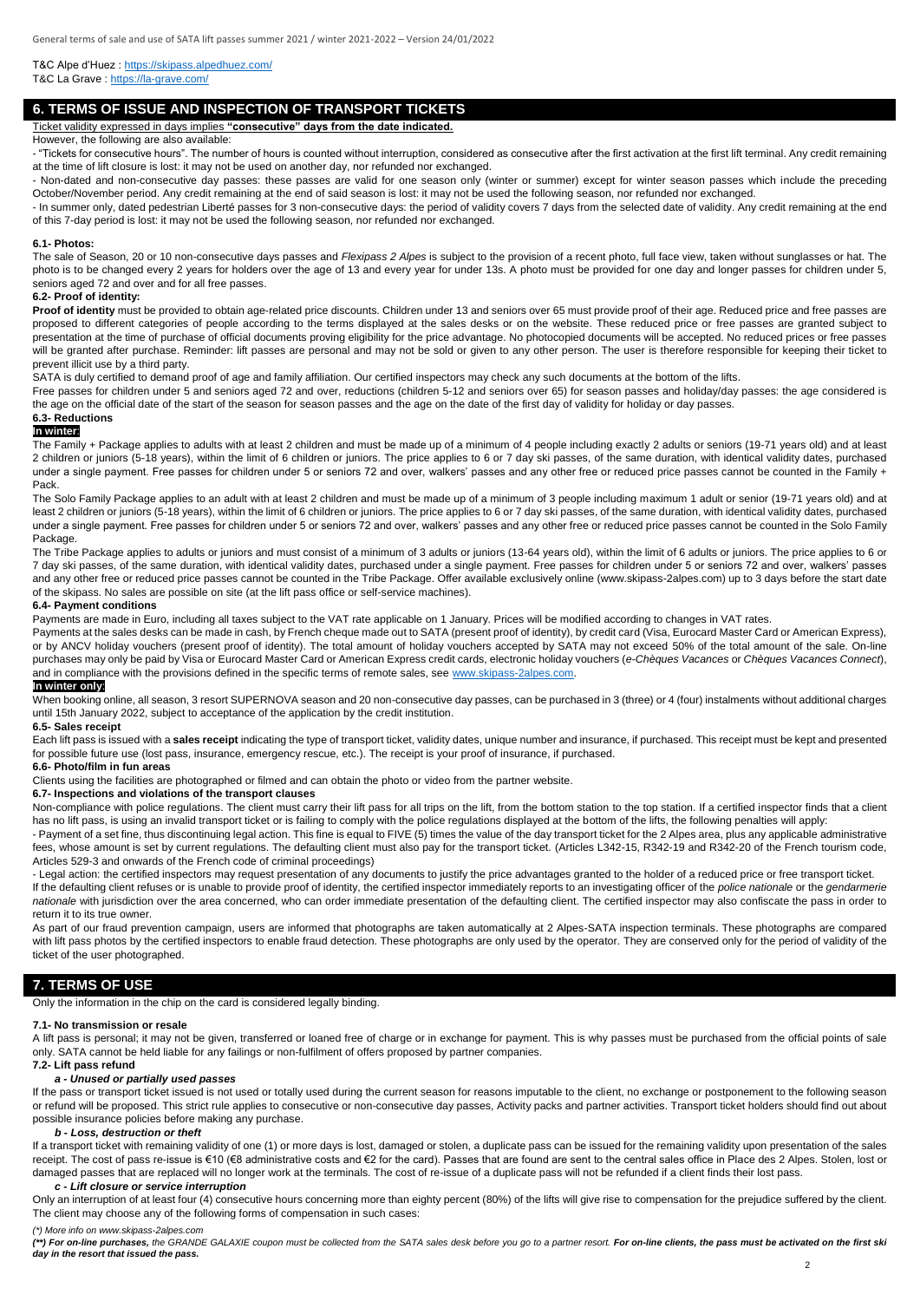T&C Alpe d'Huez [: https://skipass.alpedhuez.com/](https://skipass.alpedhuez.com/) T&C La Grave :<https://la-grave.com/>

# **6. TERMS OF ISSUE AND INSPECTION OF TRANSPORT TICKETS**

## Ticket validity expressed in days implies **"consecutive" days from the date indicated.**

However, the following are also available:

- "Tickets for consecutive hours". The number of hours is counted without interruption, considered as consecutive after the first activation at the first lift terminal. Any credit remaining at the time of lift closure is lost: it may not be used on another day, nor refunded nor exchanged.

- Non-dated and non-consecutive day passes: these passes are valid for one season only (winter or summer) except for winter season passes which include the preceding October/November period. Any credit remaining at the end of said season is lost: it may not be used the following season, nor refunded nor exchanged.

- In summer only, dated pedestrian Liberté passes for 3 non-consecutive days: the period of validity covers 7 days from the selected date of validity. Any credit remaining at the end of this 7-day period is lost: it may not be used the following season, nor refunded nor exchanged.

### **6.1- Photos:**

The sale of Season, 20 or 10 non-consecutive days passes and *Flexipass 2 Alpes* is subject to the provision of a recent photo, full face view, taken without sunglasses or hat. The photo is to be changed every 2 years for holders over the age of 13 and every year for under 13s. A photo must be provided for one day and longer passes for children under 5, seniors aged 72 and over and for all free passes.

### **6.2- Proof of identity:**

**Proof of identity** must be provided to obtain age-related price discounts. Children under 13 and seniors over 65 must provide proof of their age. Reduced price and free passes are proposed to different categories of people according to the terms displayed at the sales desks or on the website. These reduced price or free passes are granted subject to presentation at the time of purchase of official documents proving eligibility for the price advantage. No photocopied documents will be accepted. No reduced prices or free passes will be granted after purchase. Reminder: lift passes are personal and may not be sold or given to any other person. The user is therefore responsible for keeping their ticket to prevent illicit use by a third party.

SATA is duly certified to demand proof of age and family affiliation. Our certified inspectors may check any such documents at the bottom of the lifts.

Free passes for children under 5 and seniors aged 72 and over, reductions (children 5-12 and seniors over 65) for season passes and holiday/day passes: the age considered is the age on the official date of the start of the season for season passes and the age on the date of the first day of validity for holiday or day passes.

# **6.3- Reductions**

# **In winter**:

The Family + Package applies to adults with at least 2 children and must be made up of a minimum of 4 people including exactly 2 adults or seniors (19-71 years old) and at least 2 children or juniors (5-18 years), within the limit of 6 children or juniors. The price applies to 6 or 7 day ski passes, of the same duration, with identical validity dates, purchased under a single payment. Free passes for children under 5 or seniors 72 and over, walkers' passes and any other free or reduced price passes cannot be counted in the Family + Pack.

The Solo Family Package applies to an adult with at least 2 children and must be made up of a minimum of 3 people including maximum 1 adult or senior (19-71 years old) and at least 2 children or juniors (5-18 years), within the limit of 6 children or juniors. The price applies to 6 or 7 day ski passes, of the same duration, with identical validity dates, purchased under a single payment. Free passes for children under 5 or seniors 72 and over, walkers' passes and any other free or reduced price passes cannot be counted in the Solo Family Package

The Tribe Package applies to adults or juniors and must consist of a minimum of 3 adults or juniors (13-64 years old), within the limit of 6 adults or juniors. The price applies to 6 or 7 day ski passes, of the same duration, with identical validity dates, purchased under a single payment. Free passes for children under 5 or seniors 72 and over, walkers' passes and any other free or reduced price passes cannot be counted in the Tribe Package. Offer available exclusively online (www.skipass-2alpes.com) up to 3 days before the start date of the skipass. No sales are possible on site (at the lift pass office or self-service machines).

#### **6.4- Payment conditions**

Payments are made in Euro, including all taxes subject to the VAT rate applicable on 1 January. Prices will be modified according to changes in VAT rates.

Payments at the sales desks can be made in cash, by French cheque made out to SATA (present proof of identity), by credit card (Visa, Eurocard Master Card or American Express), or by ANCV holiday vouchers (present proof of identity). The total amount of holiday vouchers accepted by SATA may not exceed 50% of the total amount of the sale. On-line purchases may only be paid by Visa or Eurocard Master Card or American Express credit cards, electronic holiday vouchers (*e-Chèques Vacances* or *Chèques Vacances Connect*), and in compliance with the provisions defined in the specific terms of remote sales, see [www.skipass-2alpes.com.](http://www.skipass-2alpes.com/) 

### **In winter only**:

When booking online, all season, 3 resort SUPERNOVA season and 20 non-consecutive day passes, can be purchased in 3 (three) or 4 (four) instalments without additional charges until 15th January 2022, subject to acceptance of the application by the credit institution.

#### **6.5- Sales receipt**

Each lift pass is issued with a **sales receipt** indicating the type of transport ticket, validity dates, unique number and insurance, if purchased. This receipt must be kept and presented for possible future use (lost pass, insurance, emergency rescue, etc.). The receipt is your proof of insurance, if purchased.

### **6.6- Photo/film in fun areas**

Clients using the facilities are photographed or filmed and can obtain the photo or video from the partner website.

### **6.7- Inspections and violations of the transport clauses**

Non-compliance with police regulations. The client must carry their lift pass for all trips on the lift, from the bottom station to the top station. If a certified inspector finds that a client has no lift pass, is using an invalid transport ticket or is failing to comply with the police regulations displayed at the bottom of the lifts, the following penalties will apply:

- Payment of a set fine, thus discontinuing legal action. This fine is equal to FIVE (5) times the value of the day transport ticket for the 2 Alpes area, plus any applicable administrative fees, whose amount is set by current regulations. The defaulting client must also pay for the transport ticket. (Articles L342-15, R342-19 and R342-20 of the French tourism code, Articles 529-3 and onwards of the French code of criminal proceedings)

- Legal action: the certified inspectors may request presentation of any documents to justify the price advantages granted to the holder of a reduced price or free transport ticket. If the defaulting client refuses or is unable to provide proof of identity, the certified inspector immediately reports to an investigating officer of the *police nationale* or the *gendarmerie nationale* with jurisdiction over the area concerned, who can order immediate presentation of the defaulting client. The certified inspector may also confiscate the pass in order to return it to its true owner.

As part of our fraud prevention campaign, users are informed that photographs are taken automatically at 2 Alpes-SATA inspection terminals. These photographs are compared with lift pass photos by the certified inspectors to enable fraud detection. These photographs are only used by the operator. They are conserved only for the period of validity of the ticket of the user photographed.

# **7. TERMS OF USE**

Only the information in the chip on the card is considered legally binding.

#### **7.1- No transmission or resale**

A lift pass is personal; it may not be given, transferred or loaned free of charge or in exchange for payment. This is why passes must be purchased from the official points of sale only. SATA cannot be held liable for any failings or non-fulfilment of offers proposed by partner companies.

## **7.2- Lift pass refund**

### *a - Unused or partially used passes*

If the pass or transport ticket issued is not used or totally used during the current season for reasons imputable to the client, no exchange or postponement to the following season or refund will be proposed. This strict rule applies to consecutive or non-consecutive day passes, Activity packs and partner activities. Transport ticket holders should find out about possible insurance policies before making any purchase.

#### *b - Loss, destruction or theft*

If a transport ticket with remaining validity of one (1) or more days is lost, damaged or stolen, a duplicate pass can be issued for the remaining validity upon presentation of the sales receipt. The cost of pass re-issue is €10 (€8 administrative costs and €2 for the card). Passes that are found are sent to the central sales office in Place des 2 Alpes. Stolen, lost or damaged passes that are replaced will no longer work at the terminals. The cost of re-issue of a duplicate pass will not be refunded if a client finds their lost pass.

#### *c - Lift closure or service interruption*

Only an interruption of at least four (4) consecutive hours concerning more than eighty percent (80%) of the lifts will give rise to compensation for the prejudice suffered by the client. The client may choose any of the following forms of compensation in such cases:

#### *(\*) More info on www.skipass-2alpes.com*

(\*\*), For on-line purchases, the GRANDE GALAXIE coupon must be collected from the SATA sales desk before you go to a partner resort. **For on-line clients, the pass must be activated on the first ski** *day in the resort that issued the pass.*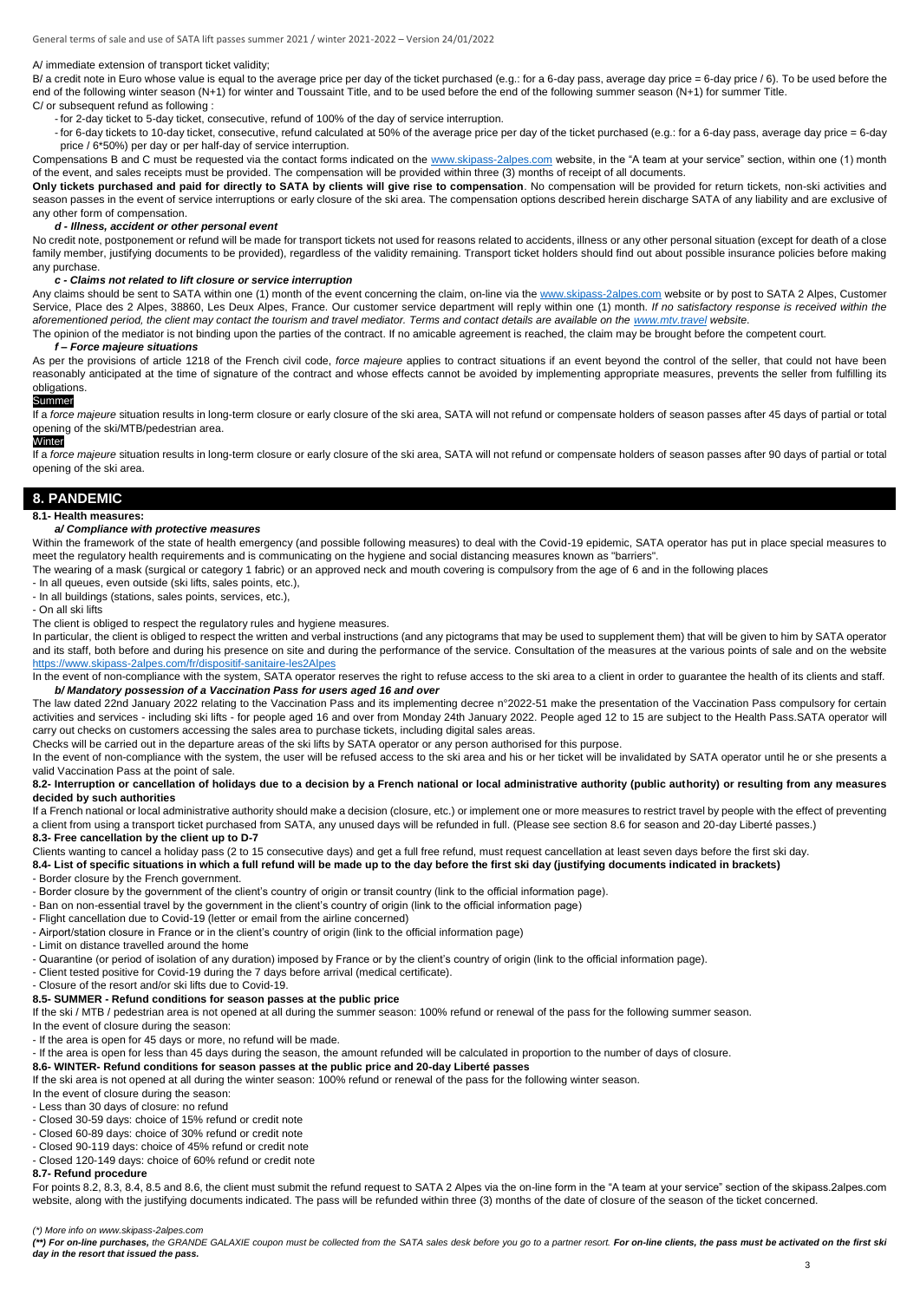### A/ immediate extension of transport ticket validity;

B/ a credit note in Euro whose value is equal to the average price per day of the ticket purchased (e.g.: for a 6-day pass, average day price = 6-day price / 6). To be used before the end of the following winter season (N+1) for winter and Toussaint Title, and to be used before the end of the following summer season (N+1) for summer Title. C/ or subsequent refund as following :

- for 2-day ticket to 5-day ticket, consecutive, refund of 100% of the day of service interruption.

- for 6-day tickets to 10-day ticket, consecutive, refund calculated at 50% of the average price per day of the ticket purchased (e.g.: for a 6-day pass, average day price = 6-day price / 6\*50%) per day or per half-day of service interruption.

Compensations B and C must be requested via the contact forms indicated on the [www.skipass-2alpes.com](http://www.skipass-2alpes.com/) website, in the "A team at your service" section, within one (1) month of the event, and sales receipts must be provided. The compensation will be provided within three (3) months of receipt of all documents.

**Only tickets purchased and paid for directly to SATA by clients will give rise to compensation**. No compensation will be provided for return tickets, non-ski activities and season passes in the event of service interruptions or early closure of the ski area. The compensation options described herein discharge SATA of any liability and are exclusive of any other form of compensation.

## *d - Illness, accident or other personal event*

No credit note, postponement or refund will be made for transport tickets not used for reasons related to accidents, illness or any other personal situation (except for death of a close family member, justifying documents to be provided), regardless of the validity remaining. Transport ticket holders should find out about possible insurance policies before making any purchase.

### *c - Claims not related to lift closure or service interruption*

Any claims should be sent to SATA within one (1) month of the event concerning the claim, on-line via th[e www.skipass-2alpes.com](http://www.skipass-2alpes.com/) website or by post to SATA 2 Alpes, Customer Service, Place des 2 Alpes, 38860, Les Deux Alpes, France. Our customer service department will reply within one (1) month. *If no satisfactory response is received within the aforementioned period, the client may contact the tourism and travel mediator. Terms and contact details are available on the [www.mtv.travel](http://www.mtv.travel/) website*.

The opinion of the mediator is not binding upon the parties of the contract. If no amicable agreement is reached, the claim may be brought before the competent court.

### *f – Force majeure situations*

As per the provisions of article 1218 of the French civil code, *force majeure* applies to contract situations if an event beyond the control of the seller, that could not have been reasonably anticipated at the time of signature of the contract and whose effects cannot be avoided by implementing appropriate measures, prevents the seller from fulfilling its obligations.

### **Summer**

If a *force majeure* situation results in long-term closure or early closure of the ski area, SATA will not refund or compensate holders of season passes after 45 days of partial or total opening of the ski/MTB/pedestrian area.

#### Winter

If a *force majeure* situation results in long-term closure or early closure of the ski area, SATA will not refund or compensate holders of season passes after 90 days of partial or total opening of the ski area.

# **8. PANDEMIC**

#### **8.1- Health measures:**

### *a/ Compliance with protective measures*

Within the framework of the state of health emergency (and possible following measures) to deal with the Covid-19 epidemic, SATA operator has put in place special measures to meet the regulatory health requirements and is communicating on the hygiene and social distancing measures known as "barriers".

The wearing of a mask (surgical or category 1 fabric) or an approved neck and mouth covering is compulsory from the age of 6 and in the following places

- In all queues, even outside (ski lifts, sales points, etc.),

- In all buildings (stations, sales points, services, etc.), - On all ski lifts

The client is obliged to respect the regulatory rules and hygiene measures.

In particular, the client is obliged to respect the written and verbal instructions (and any pictograms that may be used to supplement them) that will be given to him by SATA operator and its staff, both before and during his presence on site and during the performance of the service. Consultation of the measures at the various points of sale and on the website <https://www.skipass-2alpes.com/fr/dispositif-sanitaire-les2Alpes>

In the event of non-compliance with the system, SATA operator reserves the right to refuse access to the ski area to a client in order to guarantee the health of its clients and staff. *b/ Mandatory possession of a Vaccination Pass for users aged 16 and over* 

The law dated 22nd January 2022 relating to the Vaccination Pass and its implementing decree n°2022-51 make the presentation of the Vaccination Pass compulsory for certain activities and services - including ski lifts - for people aged 16 and over from Monday 24th January 2022. People aged 12 to 15 are subject to the Health Pass.SATA operator will carry out checks on customers accessing the sales area to purchase tickets, including digital sales areas.

Checks will be carried out in the departure areas of the ski lifts by SATA operator or any person authorised for this purpose.

In the event of non-compliance with the system, the user will be refused access to the ski area and his or her ticket will be invalidated by SATA operator until he or she presents a valid Vaccination Pass at the point of sale.

#### **8.2- Interruption or cancellation of holidays due to a decision by a French national or local administrative authority (public authority) or resulting from any measures decided by such authorities**

If a French national or local administrative authority should make a decision (closure, etc.) or implement one or more measures to restrict travel by people with the effect of preventing a client from using a transport ticket purchased from SATA, any unused days will be refunded in full. (Please see section 8.6 for season and 20-day Liberté passes.) **8.3- Free cancellation by the client up to D-7** 

Clients wanting to cancel a holiday pass (2 to 15 consecutive days) and get a full free refund, must request cancellation at least seven days before the first ski day.

### **8.4- List of specific situations in which a full refund will be made up to the day before the first ski day (justifying documents indicated in brackets)**

- Border closure by the French government.

- Border closure by the government of the client's country of origin or transit country (link to the official information page).
- Ban on non-essential travel by the government in the client's country of origin (link to the official information page)
- Flight cancellation due to Covid-19 (letter or email from the airline concerned)
- Airport/station closure in France or in the client's country of origin (link to the official information page)

- Limit on distance travelled around the home

- Quarantine (or period of isolation of any duration) imposed by France or by the client's country of origin (link to the official information page).
- Client tested positive for Covid-19 during the 7 days before arrival (medical certificate).

- Closure of the resort and/or ski lifts due to Covid-19.

# **8.5- SUMMER - Refund conditions for season passes at the public price**

If the ski / MTB / pedestrian area is not opened at all during the summer season: 100% refund or renewal of the pass for the following summer season.

In the event of closure during the season:

- If the area is open for 45 days or more, no refund will be made.

- If the area is open for less than 45 days during the season, the amount refunded will be calculated in proportion to the number of days of closure.

## **8.6- WINTER- Refund conditions for season passes at the public price and 20-day Liberté passes**

If the ski area is not opened at all during the winter season: 100% refund or renewal of the pass for the following winter season.

In the event of closure during the season:

- Less than 30 days of closure: no refund

- Closed 30-59 days: choice of 15% refund or credit note

- Closed 60-89 days: choice of 30% refund or credit note

- Closed 90-119 days: choice of 45% refund or credit note
- Closed 120-149 days: choice of 60% refund or credit note

# **8.7- Refund procedure**

For points 8.2, 8.3, 8.4, 8.5 and 8.6, the client must submit the refund request to SATA 2 Alpes via the on-line form in the "A team at your service" section of the skipass.2alpes.com website, along with the justifying documents indicated. The pass will be refunded within three (3) months of the date of closure of the season of the ticket concerned.

# *(\*) More info on www.skipass-2alpes.com*

For on-line purchases, the GRANDE GALAXIE coupon must be collected from the SATA sales desk before you go to a partner resort. For on-line clients, the pass must be activated on the first ski *day in the resort that issued the pass.*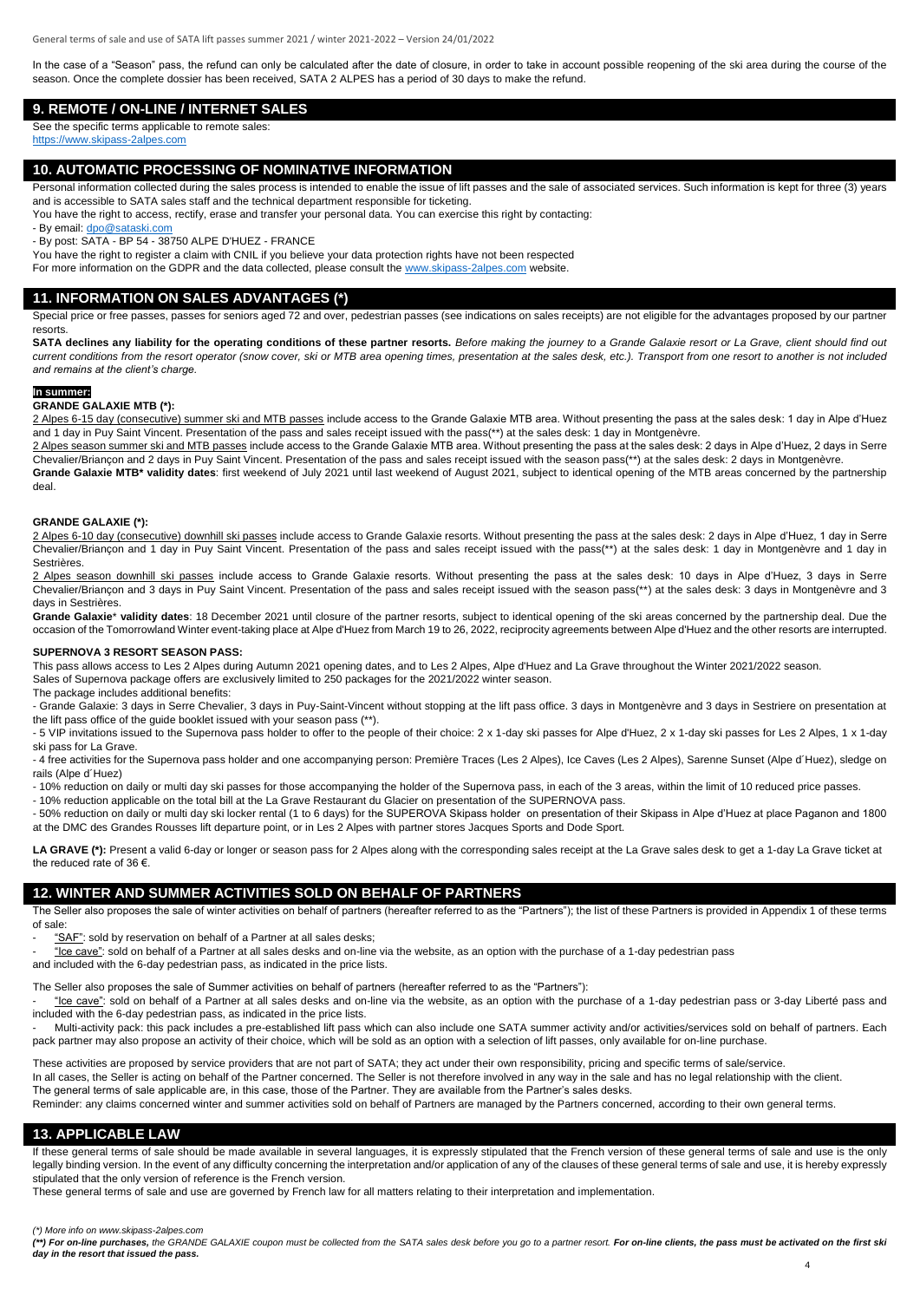In the case of a "Season" pass, the refund can only be calculated after the date of closure, in order to take in account possible reopening of the ski area during the course of the season. Once the complete dossier has been received, SATA 2 ALPES has a period of 30 days to make the refund.

## **9. REMOTE / ON-LINE / INTERNET SALES**

See the specific terms applicable to remote sales:

[https://www.skipass-2alpes.com](https://www.skipass-2alpes.com/) 

## **10. AUTOMATIC PROCESSING OF NOMINATIVE INFORMATION**

Personal information collected during the sales process is intended to enable the issue of lift passes and the sale of associated services. Such information is kept for three (3) years and is accessible to SATA sales staff and the technical department responsible for ticketing.

- You have the right to access, rectify, erase and transfer your personal data. You can exercise this right by contacting:
- By email[: dpo@sataski.com](mailto:dpo@sataski.com)
- By post: SATA BP 54 38750 ALPE D'HUEZ FRANCE
- You have the right to register a claim with CNIL if you believe your data protection rights have not been respected

For more information on the GDPR and the data collected, please consult th[e www.skipass-2alpes.com](http://www.skipass-2alpes.com/) website.

# **11. INFORMATION ON SALES ADVANTAGES (\*)**

Special price or free passes, passes for seniors aged 72 and over, pedestrian passes (see indications on sales receipts) are not eligible for the advantages proposed by our partner resorts.

SATA declines any liability for the operating conditions of these partner resorts. Before making the journey to a Grande Galaxie resort or La Grave, client should find out *current conditions from the resort operator (snow cover, ski or MTB area opening times, presentation at the sales desk, etc.). Transport from one resort to another is not included and remains at the client's charge.*

#### **In summer:**

### **GRANDE GALAXIE MTB (\*):**

2 Alpes 6-15 day (consecutive) summer ski and MTB passes include access to the Grande Galaxie MTB area. Without presenting the pass at the sales desk: 1 day in Alpe d'Huez and 1 day in Puy Saint Vincent. Presentation of the pass and sales receipt issued with the pass(\*\*) at the sales desk: 1 day in Montgenèvre.

2 Alpes season summer ski and MTB passes include access to the Grande Galaxie MTB area. Without presenting the pass at the sales desk: 2 days in Alpe d'Huez, 2 days in Serre Chevalier/Briançon and 2 days in Puy Saint Vincent. Presentation of the pass and sales receipt issued with the season pass(\*\*) at the sales desk: 2 days in Montgenèvre.

**Grande Galaxie MTB\* validity dates**: first weekend of July 2021 until last weekend of August 2021, subject to identical opening of the MTB areas concerned by the partnership deal.

### **GRANDE GALAXIE (\*):**

2 Alpes 6-10 day (consecutive) downhill ski passes include access to Grande Galaxie resorts. Without presenting the pass at the sales desk: 2 days in Alpe d'Huez, 1 day in Serre Chevalier/Briançon and 1 day in Puy Saint Vincent. Presentation of the pass and sales receipt issued with the pass(\*\*) at the sales desk: 1 day in Montgenèvre and 1 day in Sestrières.

2 Alpes season downhill ski passes include access to Grande Galaxie resorts. Without presenting the pass at the sales desk: 10 days in Alpe d'Huez, 3 days in Serre Chevalier/Briançon and 3 days in Puy Saint Vincent. Presentation of the pass and sales receipt issued with the season pass(\*\*) at the sales desk: 3 days in Montgenèvre and 3 days in Sestrières.

Grande Galaxie<sup>\*</sup> validity dates: 18 December 2021 until closure of the partner resorts, subject to identical opening of the ski areas concerned by the partnership deal. Due the occasion of the Tomorrowland Winter event-taking place at Alpe d'Huez from March 19 to 26, 2022, reciprocity agreements between Alpe d'Huez and the other resorts are interrupted.

#### **SUPERNOVA 3 RESORT SEASON PASS:**

This pass allows access to Les 2 Alpes during Autumn 2021 opening dates, and to Les 2 Alpes, Alpe d'Huez and La Grave throughout the Winter 2021/2022 season.

Sales of Supernova package offers are exclusively limited to 250 packages for the 2021/2022 winter season.

The package includes additional benefits:

- Grande Galaxie: 3 days in Serre Chevalier, 3 days in Puy-Saint-Vincent without stopping at the lift pass office. 3 days in Montgenèvre and 3 days in Sestriere on presentation at the lift pass office of the guide booklet issued with your season pass (\*\*).

- 5 VIP invitations issued to the Supernova pass holder to offer to the people of their choice: 2 x 1-day ski passes for Alpe d'Huez, 2 x 1-day ski passes for Les 2 Alpes, 1 x 1-day ski pass for La Grave.

- 4 free activities for the Supernova pass holder and one accompanying person: Première Traces (Les 2 Alpes), Ice Caves (Les 2 Alpes), Sarenne Sunset (Alpe d´Huez), sledge on rails (Alpe d´Huez)

- 10% reduction on daily or multi day ski passes for those accompanying the holder of the Supernova pass, in each of the 3 areas, within the limit of 10 reduced price passes.

- 10% reduction applicable on the total bill at the La Grave Restaurant du Glacier on presentation of the SUPERNOVA pass.

- 50% reduction on daily or multi day ski locker rental (1 to 6 days) for the SUPEROVA Skipass holder on presentation of their Skipass in Alpe d'Huez at place Paganon and 1800 at the DMC des Grandes Rousses lift departure point, or in Les 2 Alpes with partner stores Jacques Sports and Dode Sport.

LA GRAVE (\*): Present a valid 6-day or longer or season pass for 2 Alpes along with the corresponding sales receipt at the La Grave sales desk to get a 1-day La Grave ticket at the reduced rate of 36  $\epsilon$ .

# **12. WINTER AND SUMMER ACTIVITIES SOLD ON BEHALF OF PARTNERS**

The Seller also proposes the sale of winter activities on behalf of partners (hereafter referred to as the "Partners"); the list of these Partners is provided in Appendix 1 of these terms of sale:

"SAF": sold by reservation on behalf of a Partner at all sales desks;

- "Ice cave": sold on behalf of a Partner at all sales desks and on-line via the website, as an option with the purchase of a 1-day pedestrian pass

and included with the 6-day pedestrian pass, as indicated in the price lists.

The Seller also proposes the sale of Summer activities on behalf of partners (hereafter referred to as the "Partners"):

"Ice cave": sold on behalf of a Partner at all sales desks and on-line via the website, as an option with the purchase of a 1-day pedestrian pass or 3-day Liberté pass and included with the 6-day pedestrian pass, as indicated in the price lists.

- Multi-activity pack: this pack includes a pre-established lift pass which can also include one SATA summer activity and/or activities/services sold on behalf of partners. Each pack partner may also propose an activity of their choice, which will be sold as an option with a selection of lift passes, only available for on-line purchase.

These activities are proposed by service providers that are not part of SATA; they act under their own responsibility, pricing and specific terms of sale/service. In all cases, the Seller is acting on behalf of the Partner concerned. The Seller is not therefore involved in any way in the sale and has no legal relationship with the client. The general terms of sale applicable are, in this case, those of the Partner. They are available from the Partner's sales desks. Reminder: any claims concerned winter and summer activities sold on behalf of Partners are managed by the Partners concerned, according to their own general terms.

# **13. APPLICABLE LAW**

If these general terms of sale should be made available in several languages, it is expressly stipulated that the French version of these general terms of sale and use is the only legally binding version. In the event of any difficulty concerning the interpretation and/or application of any of the clauses of these general terms of sale and use, it is hereby expressly stipulated that the only version of reference is the French version.

These general terms of sale and use are governed by French law for all matters relating to their interpretation and implementation.

## *(\*) More info on www.skipass-2alpes.com*

(\*\*) For on-line purchases, the GRANDE GALAXIE coupon must be collected from the SATA sales desk before you go to a partner resort. For on-line clients, the pass must be activated on the first ski *day in the resort that issued the pass.*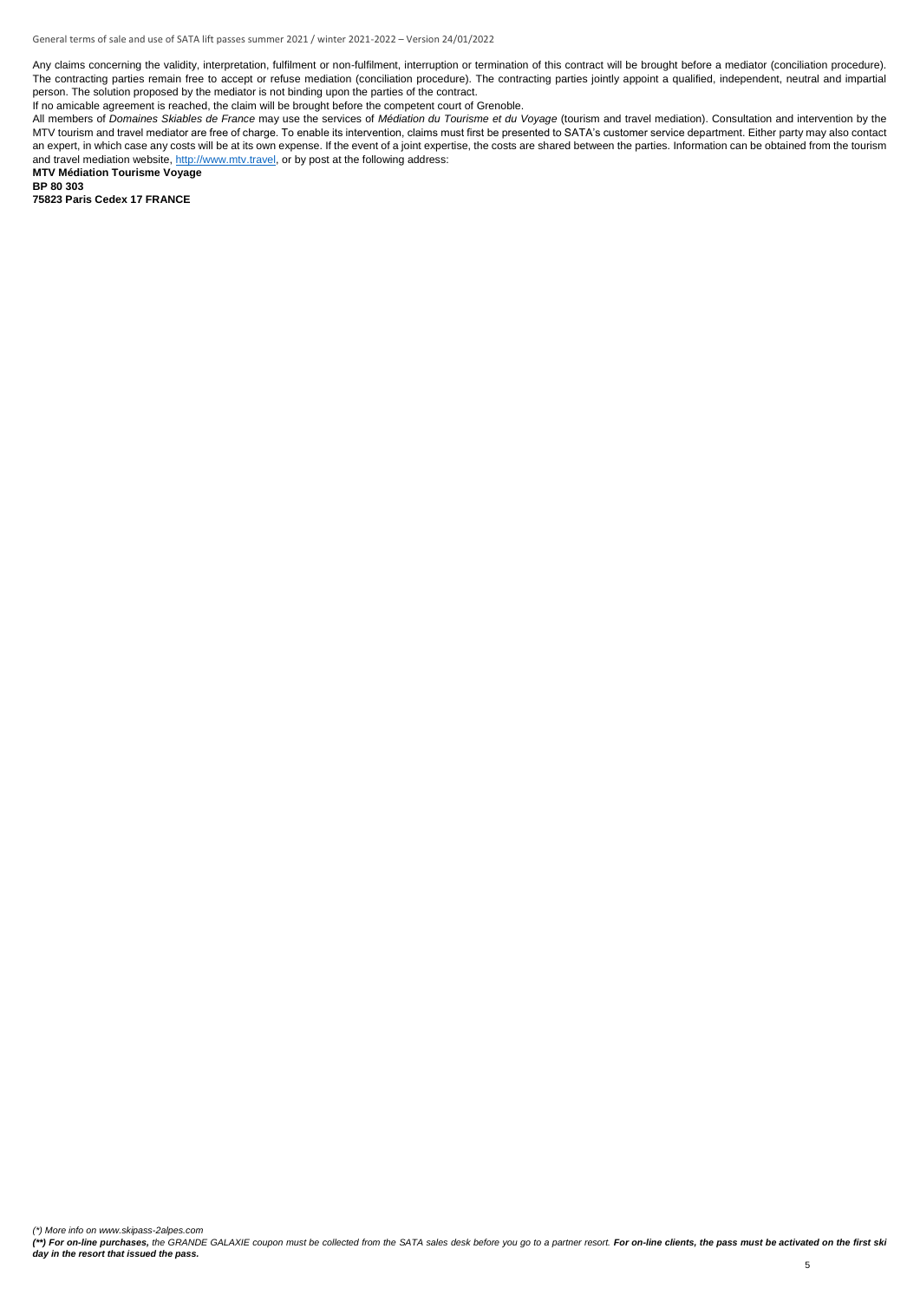Any claims concerning the validity, interpretation, fulfilment or non-fulfilment, interruption or termination of this contract will be brought before a mediator (conciliation procedure). The contracting parties remain free to accept or refuse mediation (conciliation procedure). The contracting parties jointly appoint a qualified, independent, neutral and impartial person. The solution proposed by the mediator is not binding upon the parties of the contract.

If no amicable agreement is reached, the claim will be brought before the competent court of Grenoble.

All members of *Domaines Skiables de France* may use the services of *Médiation du Tourisme et du Voyage* (tourism and travel mediation). Consultation and intervention by the MTV tourism and travel mediator are free of charge. To enable its intervention, claims must first be presented to SATA's customer service department. Either party may also contact an expert, in which case any costs will be at its own expense. If the event of a joint expertise, the costs are shared between the parties. Information can be obtained from the tourism and travel mediation website, [http://www.mtv.travel,](http://www.mtv.travel/) or by post at the following address:

**MTV Médiation Tourisme Voyage BP 80 303**

**75823 Paris Cedex 17 FRANCE**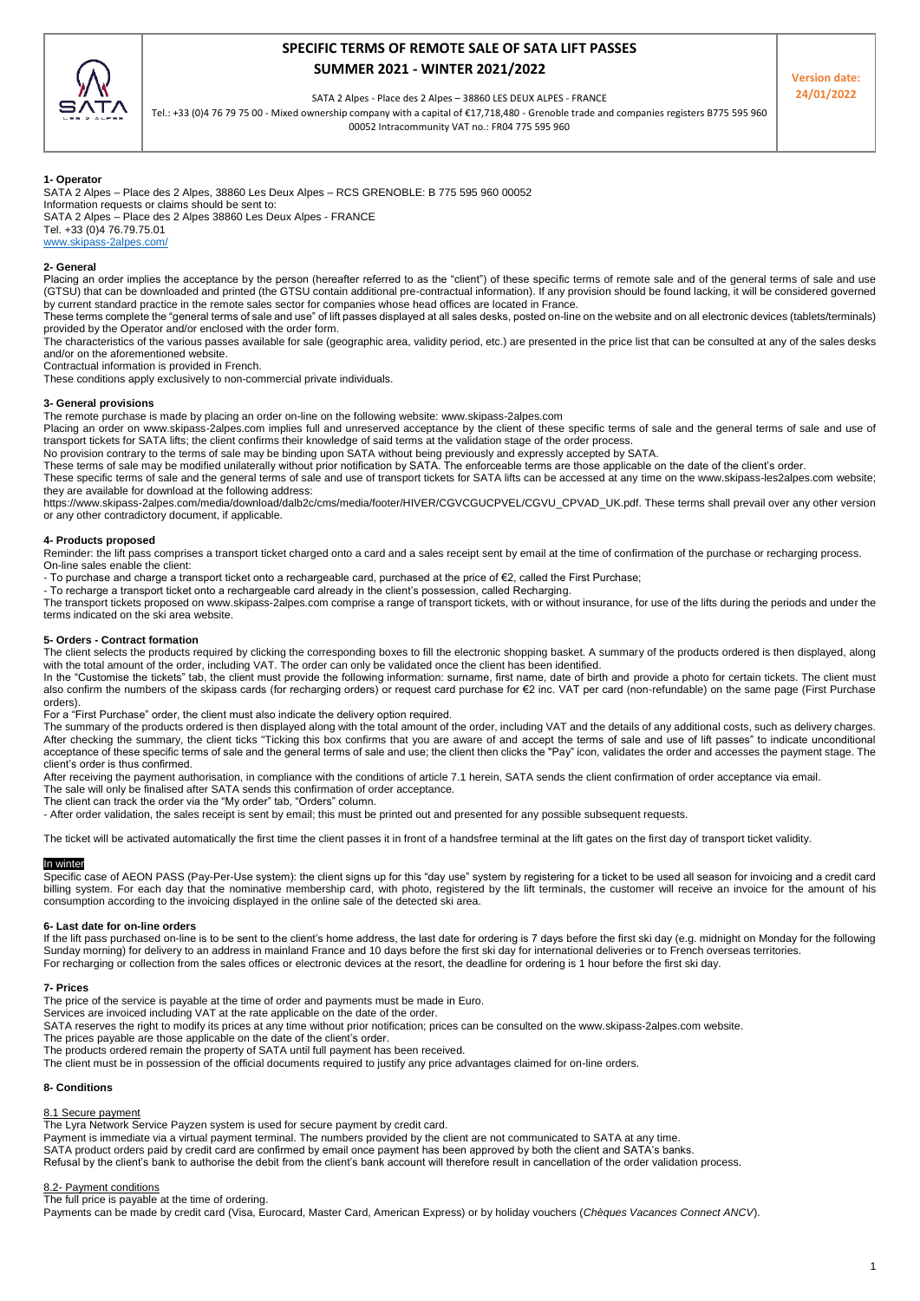

# **SPECIFIC TERMS OF REMOTE SALE OF SATA LIFT PASSES SUMMER 2021 - WINTER 2021/2022**

SATA 2 Alpes - Place des 2 Alpes – 38860 LES DEUX ALPES - FRANCE

Tel.: +33 (0)4 76 79 75 00 - Mixed ownership company with a capital of €17,718,480 - Grenoble trade and companies registers B775 595 960 00052 Intracommunity VAT no.: FR04 775 595 960

**Version date: 24/01/2022**

**1- Operator**

SATA 2 Alpes – Place des 2 Alpes, 38860 Les Deux Alpes – RCS GRENOBLE: B 775 595 960 00052 Information requests or claims should be sent to: SATA 2 Alpes – Place des 2 Alpes 38860 Les Deux Alpes - FRANCE Tel. +33 (0) 4 76.79.75.01<br>www.skinass-2alnes.com s-2alpes.com/

### **2- General**

Placing an order implies the acceptance by the person (hereafter referred to as the "client") of these specific terms of remote sale and of the general terms of sale and use (GTSU) that can be downloaded and printed (the GTSU contain additional pre-contractual information). If any provision should be found lacking, it will be considered governed by current standard practice in the remote sales sector for companies whose head offices are located in France.

These terms complete the "general terms of sale and use" of lift passes displayed at all sales desks, posted on-line on the website and on all electronic devices (tablets/terminals) provided by the Operator and/or enclosed with the order form.

The characteristics of the various passes available for sale (geographic area, validity period, etc.) are presented in the price list that can be consulted at any of the sales desks and/or on the aforementioned website.

Contractual information is provided in French.

These conditions apply exclusively to non-commercial private individuals.

### **3- General provisions**

The remote purchase is made by placing an order on-line on the following website: www.skipass-2alpes.com

Placing an order on www.skipass-2alpes.com implies full and unreserved acceptance by the client of these specific terms of sale and the general terms of sale and use of transport tickets for SATA lifts; the client confirms their knowledge of said terms at the validation stage of the order process.

No provision contrary to the terms of sale may be binding upon SATA without being previously and expressly accepted by SATA.

These terms of sale may be modified unilaterally without prior notification by SATA. The enforceable terms are those applicable on the date of the client's order.

These specific terms of sale and the general terms of sale and use of transport tickets for SATA lifts can be accessed at any time on the www.skipass-les2alpes.com website; they are available for download at the following address:

https://www.skipass-2alpes.com/media/download/dalb2c/cms/media/footer/HIVER/CGVCGUCPVEL/CGVU\_CPVAD\_UK.pdf. These terms shall prevail over any other version or any other contradictory document, if applicable.

### **4- Products proposed**

Reminder: the lift pass comprises a transport ticket charged onto a card and a sales receipt sent by email at the time of confirmation of the purchase or recharging process. On-line sales enable the client:

- To purchase and charge a transport ticket onto a rechargeable card, purchased at the price of €2, called the First Purchase;

- To recharge a transport ticket onto a rechargeable card already in the client's possession, called Recharging.

The transport tickets proposed on www.skipass-2alpes.com comprise a range of transport tickets, with or without insurance, for use of the lifts during the periods and under the terms indicated on the ski area website.

### **5- Orders - Contract formation**

The client selects the products required by clicking the corresponding boxes to fill the electronic shopping basket. A summary of the products ordered is then displayed, along with the total amount of the order, including VAT. The order can only be validated once the client has been identified.

In the "Customise the tickets" tab, the client must provide the following information: surname, first name, date of birth and provide a photo for certain tickets. The client must also confirm the numbers of the skipass cards (for recharging orders) or request card purchase for €2 inc. VAT per card (non-refundable) on the same page (First Purchase orders).

For a "First Purchase" order, the client must also indicate the delivery option required.

The summary of the products ordered is then displayed along with the total amount of the order, including VAT and the details of any additional costs, such as delivery charges. After checking the summary, the client ticks "Ticking this box confirms that you are aware of and accept the terms of sale and use of lift passes" to indicate unconditional acceptance of these specific terms of sale and the general terms of sale and use; the client then clicks the "Pay" icon, validates the order and accesses the payment stage. The client's order is thus confirmed.

After receiving the payment authorisation, in compliance with the conditions of article 7.1 herein, SATA sends the client confirmation of order acceptance via email.

The sale will only be finalised after SATA sends this confirmation of order acceptance.

The client can track the order via the "My order" tab, "Orders" column.

- After order validation, the sales receipt is sent by email; this must be printed out and presented for any possible subsequent requests.

The ticket will be activated automatically the first time the client passes it in front of a handsfree terminal at the lift gates on the first day of transport ticket validity.

### In winter

Specific case of AEON PASS (Pay-Per-Use system): the client signs up for this "day use" system by registering for a ticket to be used all season for invoicing and a credit card billing system. For each day that the nominative membership card, with photo, registered by the lift terminals, the customer will receive an invoice for the amount of his consumption according to the invoicing displayed in the online sale of the detected ski area.

### **6- Last date for on-line orders**

If the lift pass purchased on-line is to be sent to the client's home address, the last date for ordering is 7 days before the first ski day (e.g. midnight on Monday for the following Sunday morning) for delivery to an address in mainland France and 10 days before the first ski day for international deliveries or to French overseas territories. For recharging or collection from the sales offices or electronic devices at the resort, the deadline for ordering is 1 hour before the first ski day.

### **7- Prices**

The price of the service is payable at the time of order and payments must be made in Euro.

Services are invoiced including VAT at the rate applicable on the date of the order.

SATA reserves the right to modify its prices at any time without prior notification; prices can be consulted on the www.skipass-2alpes.com website.

The prices payable are those applicable on the date of the client's order.

The products ordered remain the property of SATA until full payment has been received.

The client must be in possession of the official documents required to justify any price advantages claimed for on-line orders.

### **8- Conditions**

### 8.1 Secure payment

The Lyra Network Service Payzen system is used for secure payment by credit card.

Payment is immediate via a virtual payment terminal. The numbers provided by the client are not communicated to SATA at any time.

SATA product orders paid by credit card are confirmed by email once payment has been approved by both the client and SATA's banks. Refusal by the client's bank to authorise the debit from the client's bank account will therefore result in cancellation of the order validation process.

8.2- Payment conditions

The full price is payable at the time of ordering.

Payments can be made by credit card (Visa, Eurocard, Master Card, American Express) or by holiday vouchers (*Chèques Vacances Connect ANCV*).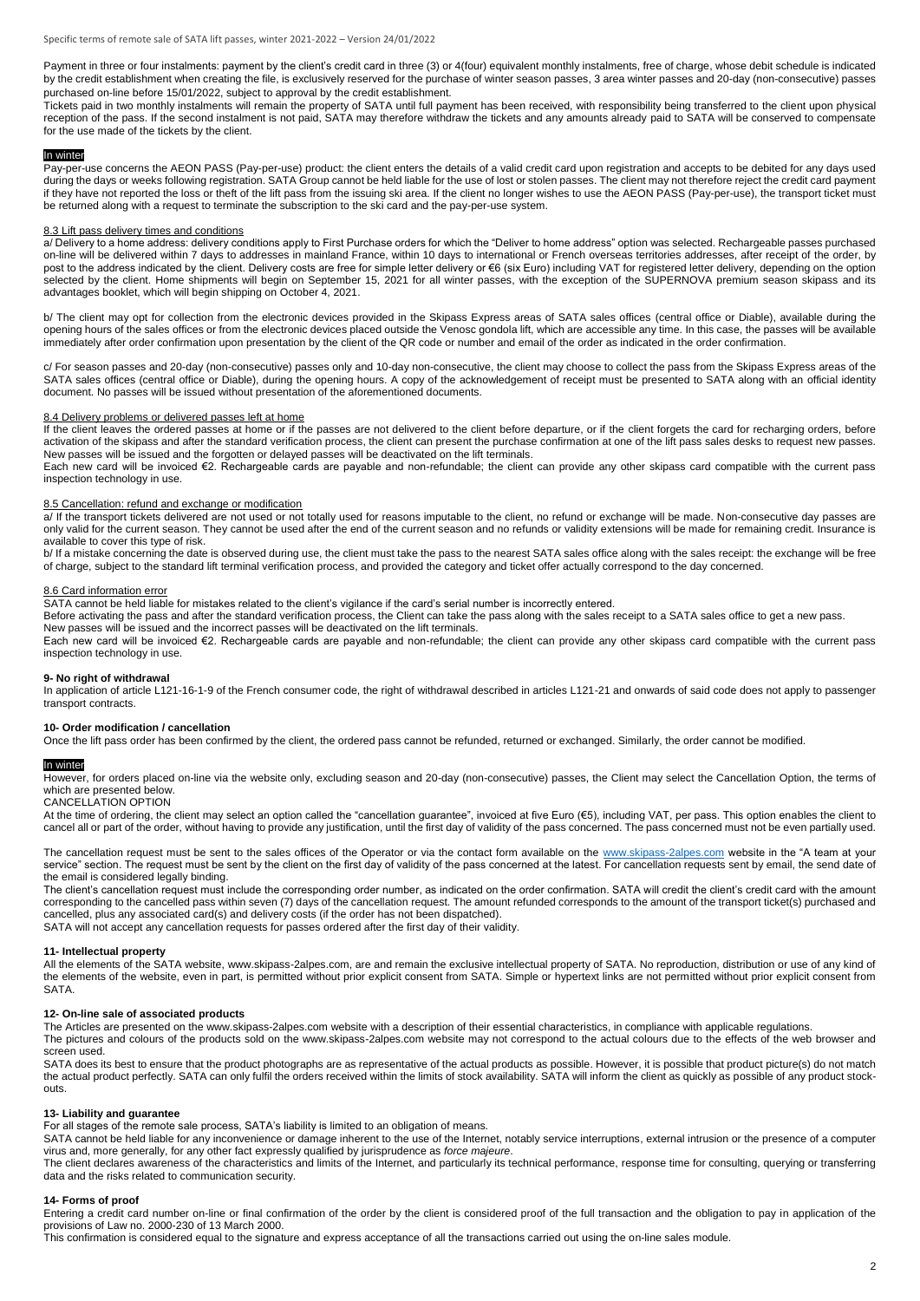Payment in three or four instalments: payment by the client's credit card in three (3) or 4(four) equivalent monthly instalments, free of charge, whose debit schedule is indicated by the credit establishment when creating the file, is exclusively reserved for the purchase of winter season passes, 3 area winter passes and 20-day (non-consecutive) passes purchased on-line before 15/01/2022, subject to approval by the credit establishment.

Tickets paid in two monthly instalments will remain the property of SATA until full payment has been received, with responsibility being transferred to the client upon physical reception of the pass. If the second instalment is not paid, SATA may therefore withdraw the tickets and any amounts already paid to SATA will be conserved to compensate for the use made of the tickets by the client.

#### In winter

Pay-per-use concerns the AEON PASS (Pay-per-use) product: the client enters the details of a valid credit card upon registration and accepts to be debited for any days used during the days or weeks following registration. SATA Group cannot be held liable for the use of lost or stolen passes. The client may not therefore reject the credit card payment If they have not reported the loss or theft of the lift pass from the issuing ski area. If the client no longer wishes to use the AEON PASS (Pay-per-use), the transport ticket must be returned along with a request to terminate the subscription to the ski card and the pay-per-use system.

#### 8.3 Lift pass delivery times and conditions

a/ Delivery to a home address: delivery conditions apply to First Purchase orders for which the "Deliver to home address" option was selected. Rechargeable passes purchased on-line will be delivered within 7 days to addresses in mainland France, within 10 days to international or French overseas territories addresses, after receipt of the order, by post to the address indicated by the client. Delivery costs are free for simple letter delivery or €6 (six Euro) including VAT for registered letter delivery, depending on the option selected by the client. Home shipments will begin on September 15, 2021 for all winter passes, with the exception of the SUPERNOVA premium season skipass and its advantages booklet, which will begin shipping on October 4, 2021.

b/ The client may opt for collection from the electronic devices provided in the Skipass Express areas of SATA sales offices (central office or Diable), available during the opening hours of the sales offices or from the electronic devices placed outside the Venosc gondola lift, which are accessible any time. In this case, the passes will be available immediately after order confirmation upon presentation by the client of the QR code or number and email of the order as indicated in the order confirmation.

c/ For season passes and 20-day (non-consecutive) passes only and 10-day non-consecutive, the client may choose to collect the pass from the Skipass Express areas of the SATA sales offices (central office or Diable), during the opening hours. A copy of the acknowledgement of receipt must be presented to SATA along with an official identity document. No passes will be issued without presentation of the aforementioned documents.

### 8.4 Delivery problems or delivered passes left at home

If the client leaves the ordered passes at home or if the passes are not delivered to the client before departure, or if the client forgets the card for recharging orders, before activation of the skipass and after the standard verification process, the client can present the purchase confirmation at one of the lift pass sales desks to request new passes. New passes will be issued and the forgotten or delayed passes will be deactivated on the lift terminals.

Each new card will be invoiced €2. Rechargeable cards are payable and non-refundable; the client can provide any other skipass card compatible with the current pass inspection technology in use.

#### 8.5 Cancellation: refund and exchange or modification

a/ If the transport tickets delivered are not used or not totally used for reasons imputable to the client, no refund or exchange will be made. Non-consecutive day passes are only valid for the current season. They cannot be used after the end of the current season and no refunds or validity extensions will be made for remaining credit. Insurance is available to cover this type of risk.

b/ If a mistake concerning the date is observed during use, the client must take the pass to the nearest SATA sales office along with the sales receipt: the exchange will be free of charge, subject to the standard lift terminal verification process, and provided the category and ticket offer actually correspond to the day concerned.

#### 8.6 Card information error

SATA cannot be held liable for mistakes related to the client's vigilance if the card's serial number is incorrectly entered.

Before activating the pass and after the standard verification process, the Client can take the pass along with the sales receipt to a SATA sales office to get a new pass. New passes will be issued and the incorrect passes will be deactivated on the lift terminals.

Each new card will be invoiced €2. Rechargeable cards are payable and non-refundable; the client can provide any other skipass card compatible with the current pass inspection technology in use.

### **9- No right of withdrawal**

In application of article L121-16-1-9 of the French consumer code, the right of withdrawal described in articles L121-21 and onwards of said code does not apply to passenger transport contracts.

#### **10- Order modification / cancellation**

Once the lift pass order has been confirmed by the client, the ordered pass cannot be refunded, returned or exchanged. Similarly, the order cannot be modified.

#### In winter

However, for orders placed on-line via the website only, excluding season and 20-day (non-consecutive) passes, the Client may select the Cancellation Option, the terms of which are presented below.

### CANCELLATION OPTION

At the time of ordering, the client may select an option called the "cancellation guarantee", invoiced at five Euro (€5), including VAT, per pass. This option enables the client to cancel all or part of the order, without having to provide any justification, until the first day of validity of the pass concerned. The pass concerned must not be even partially used.

The cancellation request must be sent to the sales offices of the Operator or via the contact form available on the [www.skipass-2alpes.com](http://www.skipass-2alpes.com/) website in the "A team at your service" section. The request must be sent by the client on the first day of validity of the pass concerned at the latest. For cancellation requests sent by email, the send date of the email is considered legally binding.

The client's cancellation request must include the corresponding order number, as indicated on the order confirmation. SATA will credit the client's credit card with the amount corresponding to the cancelled pass within seven (7) days of the cancellation request. The amount refunded corresponds to the amount of the transport ticket(s) purchased and cancelled, plus any associated card(s) and delivery costs (if the order has not been dispatched).

SATA will not accept any cancellation requests for passes ordered after the first day of their validity.

### **11- Intellectual property**

All the elements of the SATA website, www.skipass-2alpes.com, are and remain the exclusive intellectual property of SATA. No reproduction, distribution or use of any kind of the elements of the website, even in part, is permitted without prior explicit consent from SATA. Simple or hypertext links are not permitted without prior explicit consent from SATA.

#### **12- On-line sale of associated products**

The Articles are presented on the www.skipass-2alpes.com website with a description of their essential characteristics, in compliance with applicable regulations.

The pictures and colours of the products sold on the www.skipass-2alpes.com website may not correspond to the actual colours due to the effects of the web browser and screen used.

SATA does its best to ensure that the product photographs are as representative of the actual products as possible. However, it is possible that product picture(s) do not match the actual product perfectly. SATA can only fulfil the orders received within the limits of stock availability. SATA will inform the client as quickly as possible of any product stockouts.

# **13- Liability and guarantee**

For all stages of the remote sale process, SATA's liability is limited to an obligation of means.

SATA cannot be held liable for any inconvenience or damage inherent to the use of the Internet, notably service interruptions, external intrusion or the presence of a computer virus and, more generally, for any other fact expressly qualified by jurisprudence as *force majeure*.

The client declares awareness of the characteristics and limits of the Internet, and particularly its technical performance, response time for consulting, querying or transferring data and the risks related to communication security.

#### **14- Forms of proof**

Entering a credit card number on-line or final confirmation of the order by the client is considered proof of the full transaction and the obligation to pay in application of the provisions of Law no. 2000-230 of 13 March 2000.

This confirmation is considered equal to the signature and express acceptance of all the transactions carried out using the on-line sales module.